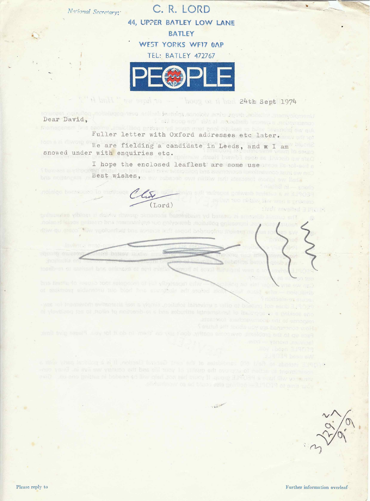C. R. LORD 44, UPPER BATLEY LOW LANE BATLEY WEST YORKS WF17 OAP

National Secretary:

 $\mathbf{v}_e$  .

TEL: BATLEY 472767



- William Supply to though the 24th Sept 1974

Linemployment. Infolion, drugs, state, wolen sailing is the polling payment on, pollution, and Dear David. I old house and awa all monethelp letomes a molteculanoo a premenent bis spoint ambulling prisis on a sun met pnoi citileer to blick terrarch and an Fuller letter with Oxford addresses etc later. We are fielding a candidate in Leeds, and w I am Lame goig is runned when the same snowed under with enquiries etc. I hope the enclosed leaflest are some use Then was within the state wishes, mish private annuality and analysis in the water was been and francisk at sound anzinion bemasues lo maticona a derrot galycelly teyler a at 319034 The Defi fere multiply law me in B prisoners  $(Iord)$ e stati zovalnul 31% i k

potraverize vibines at dolche ringone cimencole berseribeim vel beteen, zi ampetib tempus antiestary pas, impeachange polishicas, destroying our ony fromment and creating social temper. Atlay gu saloo "Yes ypotonit at bos achaios a di asqort behave the sag do Ast so

MANISHORN REGING **REED** 

hoerib en er aarhant bon enimexa al ned misil. Seguri di es al faineami wen e te asvinta 3.14099 

bus featured results tool selections of this insector error. Needly can ad yier reput you say not? di destinone eldisnetriu tulo biori hno siunariole enti profoti archive in promotis promotisci 5 noiteale-ex enauez

-was to increase on switneretic last a wigrain goitulos lastevima a talte of bostum, for sould a length, ni vlavitizog fas bi makie to noifserib-si s bno seburitis listnerapbout la iselangge en a grilsboa ano ales: wor examples in cob onl of ezonogon

S guint aut tuoda dos gra hansenos world

Fare up to the problems, owncome contry, don't no you include it is for you, Please give that won - yongar Jesuluan'

Alor Boun 119079

**BURGET Best FEDE** 

is ritical under the fight of the conduction of the next Gancier Becton, it is a political party with a would not only one was and the still more to yukure and averaged of notion of treintimience station and these in PEOPLE group if your het had been and the needed in setting one and in section with which is not been made to the problem and the set of the problem

Please reply to

Further information overleaf